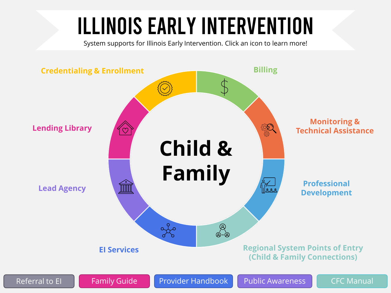# Illinois Early Intervention

System supports for Illinois Early Intervention. Click an icon to learn more!

<span id="page-0-0"></span>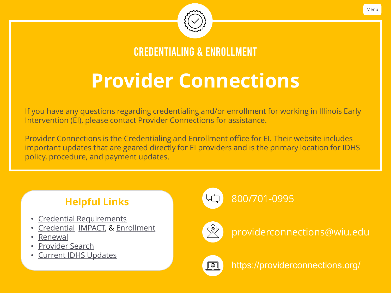

Credentialing & Enrollment

## **Provider Connections**

<span id="page-1-0"></span>If you have any questions regarding credentialing and/or enrollment for working in Illinois Early Intervention (EI), please contact Provider Connections for assistance.

Provider Connections is the Credentialing and Enrollment office for EI. Their website includes important updates that are geared directly for EI providers and is the primary location for IDHS policy, procedure, and payment updates.

### **Helpful Links**

- [Credential Requirements](https://providerconnections.org/applications-overview/)
- [Credential,](https://providerconnections.org/applications-overview/) [IMPACT,](https://www.illinois.gov/hfs/impact/Pages/default.aspx) & [Enrollment](https://providerconnections.org/common-billing-and-enrollment-questions/)
- [Renewal](https://providerconnections.org/application-renewal/)
- [Provider Search](https://search.providerconnections.org/public/home.mvc)
- [Current IDHS Updates](https://providerconnections.org/news-posts/)



### [800/701-0995](tel:800-701-0995)



[providerconnections@wiu.edu](mailto:providerconnections@wiu.edu)



<https://providerconnections.org/>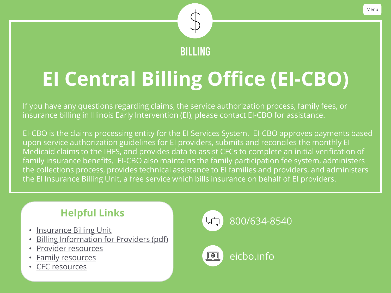

## <span id="page-2-0"></span>**EI Central Billing Office (EI-CBO)**

If you have any questions regarding claims, the service authorization process, family fees, or insurance billing in Illinois Early Intervention (EI), please contact EI-CBO for assistance.

EI-CBO is the claims processing entity for the EI Services System. EI-CBO approves payments based upon service authorization guidelines for EI providers, submits and reconciles the monthly EI Medicaid claims to the IHFS, and provides data to assist CFCs to complete an initial verification of family insurance benefits. EI-CBO also maintains the family participation fee system, administers the collections process, provides technical assistance to EI families and providers, and administers the EI Insurance Billing Unit, a free service which bills insurance on behalf of EI providers.



- [Insurance Billing Unit](https://eicbo.info/providers/insurance-billing-unit/)
- [Billing Information for Providers \(pdf\)](https://eicbo.files.wordpress.com/2022/01/billing-information-for-providers-10.08.20-asm.pdf)
- [Provider resources](https://eicbo.info/providers/)
- [Family resources](https://eicbo.info/families/)
- [CFC resources](https://eicbo.info/child-family-connection-office/)





[eicbo.info](https://eicbo.info/)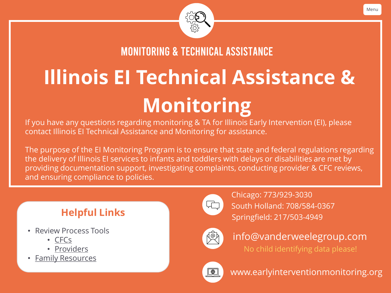

Monitoring & Technical Assistance

# <span id="page-3-0"></span>**Illinois EI Technical Assistance & Monitoring**

If you have any questions regarding monitoring & TA for Illinois Early Intervention (EI), please contact Illinois EI Technical Assistance and Monitoring for assistance.

The purpose of the EI Monitoring Program is to ensure that state and federal regulations regarding the delivery of Illinois EI services to infants and toddlers with delays or disabilities are met by providing documentation support, investigating complaints, conducting provider & CFC reviews, and ensuring compliance to policies.

- Review Process Tools
	- [CFCs](https://www.earlyinterventionmonitoring.org/cfcs.html)
	- [Providers](https://www.earlyinterventionmonitoring.org/providers.html)
- [Family Resources](https://www.earlyinterventionmonitoring.org/families.html)



[South Holland: 708/584-0367](tel:708-584-0367) **Helpful Links** [Springfield: 217/503-4949](tel:217-503-4949) [Chicago: 773/929-3030](tel:773-929-3030)



[info@vanderweelegroup.com](mailto:info@vanderweelergroup.com) No child identifying data please!



[www.earlyinterventionmonitoring.org](https://www.earlyinterventionmonitoring.org/)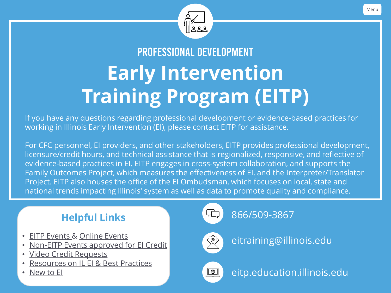

## <span id="page-4-0"></span>Professional Development **Early Intervention Training Program (EITP)**

If you have any questions regarding professional development or evidence-based practices for working in Illinois Early Intervention (EI), please contact EITP for assistance.

For CFC personnel, EI providers, and other stakeholders, EITP provides professional development, licensure/credit hours, and technical assistance that is regionalized, responsive, and reflective of evidence-based practices in EI. EITP engages in cross-system collaboration, and supports the Family Outcomes Project, which measures the effectiveness of EI, and the Interpreter/Translator Project. EITP also houses the office of the EI Ombudsman, which focuses on local, state and national trends impacting Illinois' system as well as data to promote quality and compliance.

### **Helpful Links**

- [EITP Events](https://go.illinois.edu/EITPevents) & [Online Events](https://blogs.illinois.edu/view/6039/175193)
- [Non-EITP Events approved for EI Credit](https://eitp.education.illinois.edu/noneitpevents.html)
- [Video Credit Requests](https://blogs.illinois.edu/view/6039/149676)
- [Resources on IL EI & Best Practices](https://eitp.education.illinois.edu/resources.html)
- [New to EI](https://eitp.education.illinois.edu/new.html)





[eitraining@illinois.edu](mailto:eitraining@illinois.edu)



[eitp.education.illinois.edu](https://eitp.education.illinois.edu/)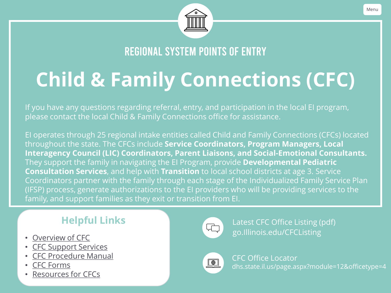

Regional System Points of Entry

## <span id="page-5-0"></span>**Child & Family Connections (CFC)**

If you have any questions regarding referral, entry, and participation in the local EI program, please contact the local Child & Family Connections office for assistance.

EI operates through 25 regional intake entities called Child and Family Connections (CFCs) located throughout the state. The CFCs include **Service Coordinators, Program Managers, Local Interagency Council (LIC) Coordinators, Parent Liaisons, and Social-Emotional Consultants.** They support the family in navigating the EI Program, provide **Developmental Pediatric Consultation Services**, and help with **Transition** to local school districts at age 3. Service Coordinators partner with the family through each stage of the Individualized Family Service Plan (IFSP) process, generate authorizations to the EI providers who will be providing services to the family, and support families as they exit or transition from EI.

### **Helpful Links**

- 
- [CFC Support Services](https://www.dhs.state.il.us/page.aspx?item=96955)
- [CFC Procedure Manual](https://go.illinois.edu/CFCProcedureManual)
- [CFC Forms](https://www.dhs.state.il.us/page.aspx?item=96975)
- [Resources for CFCs](https://blogs.illinois.edu/view/6039/114619)



[go.Illinois.edu/CFCListing](https://go.illinois.edu/CFCListing) • [Overview of CFC](https://www.dhs.state.il.us/page.aspx?item=96954) Latest CFC Office Listing (pdf)



CFC Office Locator [dhs.state.il.us/page.aspx?module=12&officetype=4](https://www.dhs.state.il.us/page.aspx?module=12&officetype=4)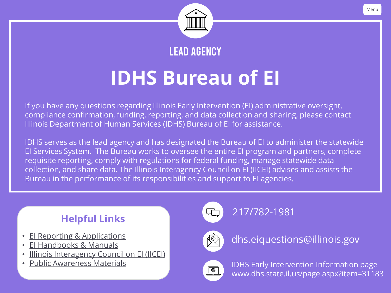

Lead Agency

## **IDHS Bureau of EI**

<span id="page-6-0"></span>If you have any questions regarding Illinois Early Intervention (EI) administrative oversight, compliance confirmation, funding, reporting, and data collection and sharing, please contact Illinois Department of Human Services (IDHS) Bureau of EI for assistance.

IDHS serves as the lead agency and has designated the Bureau of EI to administer the statewide EI Services System. The Bureau works to oversee the entire EI program and partners, complete requisite reporting, comply with regulations for federal funding, manage statewide data collection, and share data. The Illinois Interagency Council on EI (IICEI) advises and assists the Bureau in the performance of its responsibilities and support to EI agencies.

### **Helpful Links**

- [EI Reporting & Applications](https://www.dhs.state.il.us/page.aspx?item=36192)
- [EI Handbooks & Manuals](https://www.dhs.state.il.us/page.aspx?item=32263)
- **[Illinois Interagency Council on EI \(IICEI\)](https://www.dhs.state.il.us/page.aspx?item=37365)**
- [Public Awareness Materials](https://www.childfind-idea-il.us/)

[217/782-1981](tel:217-782-1981)



[dhs.eiquestions@illinois.gov](mailto:eitraining@illinois.edu)



IDHS Early Intervention Information page [www.dhs.state.il.us/page.aspx?item=31183](https://www.dhs.state.il.us/page.aspx?item=31183)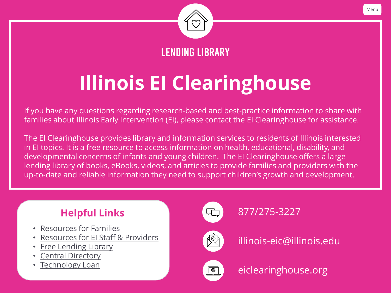

Lending Library

## <span id="page-7-0"></span>**Illinois EI Clearinghouse**

If you have any questions regarding research-based and best-practice information to share with families about Illinois Early Intervention (EI), please contact the EI Clearinghouse for assistance.

The EI Clearinghouse provides library and information services to residents of Illinois interested in EI topics. It is a free resource to access information on health, educational, disability, and developmental concerns of infants and young children. The EI Clearinghouse offers a large lending library of books, eBooks, videos, and articles to provide families and providers with the up-to-date and reliable information they need to support children's growth and development.

### **Helpful Links**

- [Resources for Families](https://eiclearinghouse.org/family-resources/)
- [Resources for EI Staff & Providers](https://eiclearinghouse.org/provider-resources/)
- **[Free Lending Library](https://eiclearinghouse.org/resources/library/)**
- **[Central Directory](https://eiclearinghouse.org/resources/directory/)**
- **Technology Loan**



## [877/275-3227](tel:877-275-3227)



[illinois-eic@illinois.edu](mailto:illinois-eic@illinois.edu)



[eiclearinghouse.org](https://eiclearinghouse.org/)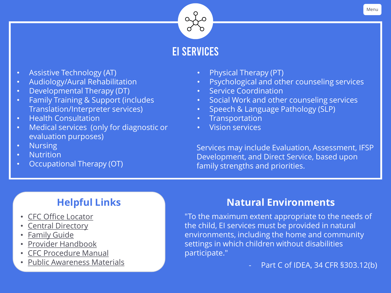

### EI Services

- Assistive Technology (AT)
- Audiology/Aural Rehabilitation
- Developmental Therapy (DT)
- Family Training & Support (includes Translation/Interpreter services)
- Health Consultation
- Medical services (only for diagnostic or evaluation purposes)
- Nursing
- Nutrition
- Occupational Therapy (OT)
- Physical Therapy (PT)
- Psychological and other counseling services
- Service Coordination
- Social Work and other counseling services
- Speech & Language Pathology (SLP)
- **Transportation**
- Vision services

Services may include Evaluation, Assessment, IFSP Development, and Direct Service, based upon family strengths and priorities.

### **Helpful Links**

- [CFC Office Locator](https://www.dhs.state.il.us/page.aspx?module=12&officetype=4&county)
- **[Central Directory](https://eiclearinghouse.org/resources/directory/)**
- [Family Guide](https://eiclearinghouse.org/public-awareness/the-guide/)
- [Provider Handbook](https://go.illinois.edu/ProviderHandbook)
- [CFC Procedure Manual](https://go.illinois.edu/CFCProcedureManual)
- [Public Awareness Materials](https://www.childfind-idea-il.us/)

### **Natural Environments**

"To the maximum extent appropriate to the needs of the child, EI services must be provided in natural environments, including the home and community settings in which children without disabilities participate."

Part C of IDEA, 34 CFR §303.12(b)